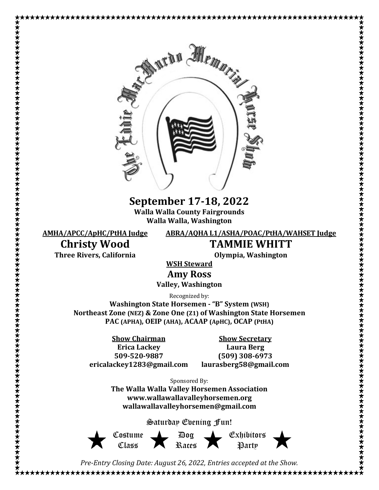

**September 17-18, 2022 Walla Walla County Fairgrounds Walla Walla, Washington**

**AMHA/APCC/ApHC/PtHA Judge**

**Christy Wood**

**Three Rivers, California**

### **ABRA/AQHA L1/ASHA/POAC/PtHA/WAHSET Judge**

# **TAMMIE WHITT**

**Olympia, Washington**

**WSH Steward**

**Amy Ross**

**Valley, Washington**

Recognized by:

**Washington State Horsemen - "B" System (WSH) Northeast Zone (NEZ) & Zone One (Z1) of Washington State Horsemen PAC (APHA), OEIP (AHA), ACAAP (ApHC), OCAP (PtHA)**

**Show Chairman Erica Lackey 509-520-9887 ericalackey1283@gmail.com**

> Costume Class

**Show Secretary Laura Berg (509) 308-6973 laurasberg58@gmail.com**

Sponsored By: **The Walla Walla Valley Horsemen Association www.wallawallavalleyhorsemen.org wallawallavalleyhorsemen@gmail.com**

Saturday Evening Fun!







*Pre-Entry Closing Date: August 26, 2022, Entries accepted at the Show.*